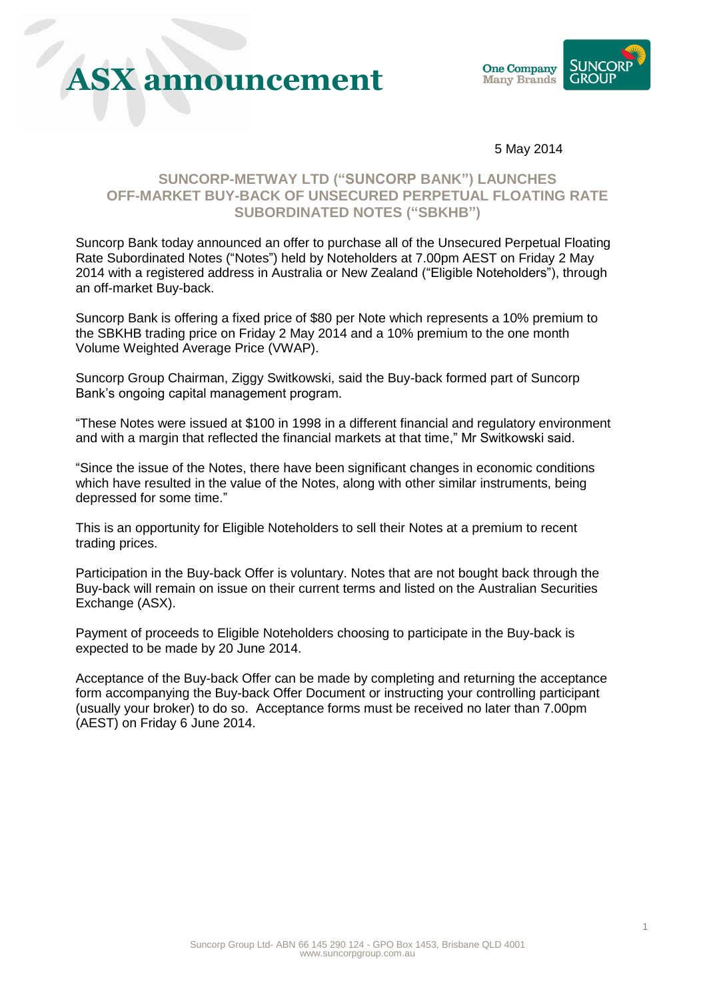# **ASX announcement**



5 May 2014

### **SUNCORP-METWAY LTD ("SUNCORP BANK") LAUNCHES OFF-MARKET BUY-BACK OF UNSECURED PERPETUAL FLOATING RATE SUBORDINATED NOTES ("SBKHB")**

Suncorp Bank today announced an offer to purchase all of the Unsecured Perpetual Floating Rate Subordinated Notes ("Notes") held by Noteholders at 7.00pm AEST on Friday 2 May 2014 with a registered address in Australia or New Zealand ("Eligible Noteholders"), through an off-market Buy-back.

Suncorp Bank is offering a fixed price of \$80 per Note which represents a 10% premium to the SBKHB trading price on Friday 2 May 2014 and a 10% premium to the one month Volume Weighted Average Price (VWAP).

Suncorp Group Chairman, Ziggy Switkowski, said the Buy-back formed part of Suncorp Bank's ongoing capital management program.

"These Notes were issued at \$100 in 1998 in a different financial and regulatory environment and with a margin that reflected the financial markets at that time," Mr Switkowski said.

"Since the issue of the Notes, there have been significant changes in economic conditions which have resulted in the value of the Notes, along with other similar instruments, being depressed for some time."

This is an opportunity for Eligible Noteholders to sell their Notes at a premium to recent trading prices.

Participation in the Buy-back Offer is voluntary. Notes that are not bought back through the Buy-back will remain on issue on their current terms and listed on the Australian Securities Exchange (ASX).

Payment of proceeds to Eligible Noteholders choosing to participate in the Buy-back is expected to be made by 20 June 2014.

Acceptance of the Buy-back Offer can be made by completing and returning the acceptance form accompanying the Buy-back Offer Document or instructing your controlling participant (usually your broker) to do so. Acceptance forms must be received no later than 7.00pm (AEST) on Friday 6 June 2014.